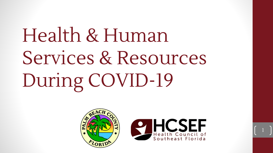# Health & Human Services & Resources During COVID-19



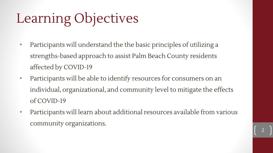## Learning Objectives

- Participants will understand the the basic principles of utilizing a strengths-based approach to assist Palm Beach County residents affected by COVID-19
- Participants will be able to identify resources for consumers on an individual, organizational, and community level to mitigate the effects of COVID-19
- Participants will learn about additional resources available from various community organizations.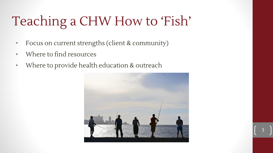## Teaching a CHW How to 'Fish'

- Focus on current strengths (client & community)
- Where to find resources
- Where to provide health education & outreach

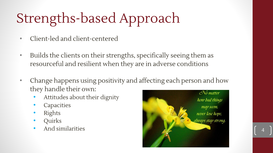## Strengths-based Approach

- Client-led and client-centered
- Builds the clients on their strengths, specifically seeing them as resourceful and resilient when they are in adverse conditions
- Change happens using positivity and affecting each person and how they handle their own:
	- Attitudes about their dignity
	- **Capacities**
	- Rights
	- Quirks
	- And similarities

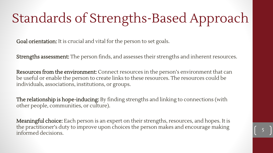## Standards of Strengths-Based Approach

Goal orientation: It is crucial and vital for the person to set goals.

Strengths assessment: The person finds, and assesses their strengths and inherent resources.

Resources from the environment: Connect resources in the person's environment that can be useful or enable the person to create links to these resources. The resources could be individuals, associations, institutions, or groups.

The relationship is hope-inducing: By finding strengths and linking to connections (with other people, communities, or culture).

Meaningful choice: Each person is an expert on their strengths, resources, and hopes. It is the practitioner's duty to improve upon choices the person makes and encourage making informed decisions.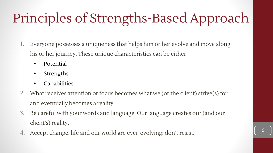## Principles of Strengths-Based Approach

- 1. Everyone possesses a uniqueness that helps him or her evolve and move along his or her journey. These unique characteristics can be either
	- Potential
	- Strengths
	- Capabilities
- 2. What receives attention or focus becomes what we (or the client) strive(s) for and eventually becomes a reality.
- 3. Be careful with your words and language. Our language creates our (and our client's) reality.
- 4. Accept change, life and our world are ever-evolving; don't resist.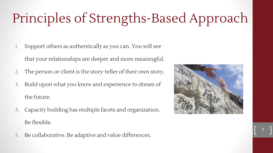## Principles of Strengths-Based Approach

- 1. Support others as authentically as you can. You will see that your relationships are deeper and more meaningful.
- 2. The person or client is the story-teller of their own story.
- 3. Build upon what you know and experience to dream of the future.
- 4. Capacity building has multiple facets and organization. Be flexible.
- 5. Be collaborative. Be adaptive and value differences.

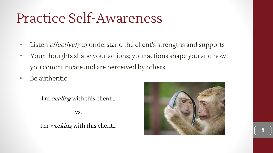### Practice Self-Awareness

- Listen *effectively* to understand the client's strengths and supports
- Your thoughts shape your actions; your actions shape you and how you communicate and are perceived by others
- Be authentic

I'm *dealing* with this client...

vs.

I'm *working* with this client...

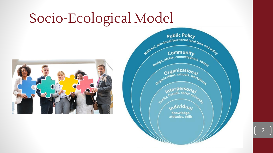## Socio-Ecological Model



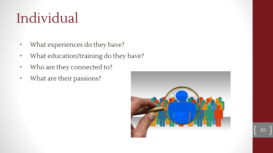## Individual

- What experiences do they have?
- What education/training do they have?
- Who are they connected to?
- What are their passions?

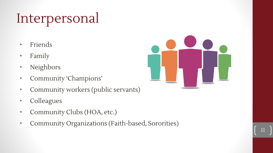## Interpersonal

- Friends
- Family
- Neighbors
- Community 'Champions'
- Community workers (public servants)
- Colleagues
- Community Clubs (HOA, etc.)
- Community Organizations (Faith-based, Sororities)

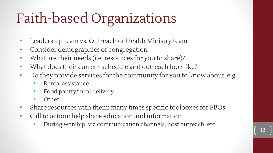## Faith-based Organizations

- Leadership team vs. Outreach or Health Ministry team
- Consider demographics of congregation
- What are their needs (i.e. resources for you to share)?
- What does their current schedule and outreach look like?
- Do they provide services for the community for you to know about, e.g.
	- Rental assistance
	- Food pantry/meal delivery
	- Other
- Share resources with them; many times specific toolboxes for FBOs
- Call to action: help share education and information
	- During worship, via communication channels, host outreach, etc.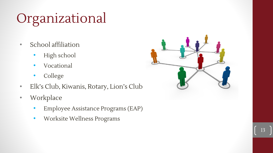## Organizational

- School affiliation
	- High school
	- Vocational
	- College
- Elk's Club, Kiwanis, Rotary, Lion's Club
- Workplace
	- Employee Assistance Programs (EAP)
	- Worksite Wellness Programs

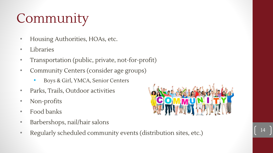## Community

- Housing Authorities, HOAs, etc.
- Libraries
- Transportation (public, private, not-for-profit)
- Community Centers (consider age groups)
	- Boys & Girl, YMCA, Senior Centers
- Parks, Trails, Outdoor activities
- Non-profits
- Food banks
- Barbershops, nail/hair salons
- Regularly scheduled community events (distribution sites, etc.)

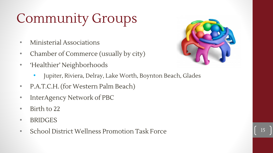## Community Groups

- Ministerial Associations
- Chamber of Commerce (usually by city)
- 'Healthier' Neighborhoods
	- Jupiter, Riviera, Delray, Lake Worth, Boynton Beach, Glades
- P.A.T.C.H. (for Western Palm Beach)
- InterAgency Network of PBC
- Birth to 22
- BRIDGES
- School District Wellness Promotion Task Force

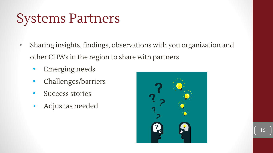#### Systems Partners

- Sharing insights, findings, observations with you organization and other CHWs in the region to share with partners
	- Emerging needs
	- Challenges/barriers
	- Success stories
	- Adjust as needed

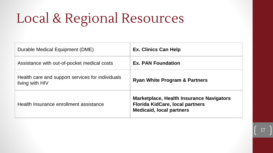## Local & Regional Resources

| Durable Medical Equipment (DME)                                     | <b>Ex. Clinics Can Help</b>                                                                                           |
|---------------------------------------------------------------------|-----------------------------------------------------------------------------------------------------------------------|
| Assistance with out-of-pocket medical costs                         | <b>Ex. PAN Foundation</b>                                                                                             |
| Health care and support services for individuals<br>living with HIV | <b>Ryan White Program &amp; Partners</b>                                                                              |
| Health Insurance enrollment assistance                              | Marketplace, Health Insurance Navigators<br><b>Florida KidCare, local partners</b><br><b>Medicaid, local partners</b> |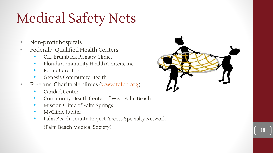## Medical Safety Nets

- Non-profit hospitals
- Federally Qualified Health Centers
	- C.L. Brumback Primary Clinics
	- Florida Community Health Centers, Inc.
	- FoundCare, Inc.
	- Genesis Community Health
- Free and Charitable clinics [\(www.fafcc.org\)](http://www.fafcc.org)
	- Caridad Center
	- Community Health Center of West Palm Beach
	- Mission Clinic of Palm Springs
	- MyClinic Jupiter
	- Palm Beach County Project Access Specialty Network

(Palm Beach Medical Society)

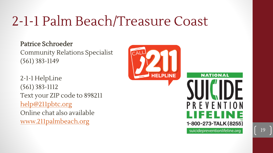### 2-1-1 Palm Beach/Treasure Coast

#### Patrice Schroeder

Community Relations Specialist (561) 383-1149

2-1-1 HelpLine (561) 383-1112 Text your ZIP code to 898211 [help@211pbtc.org](mailto:help@211pbtc.org) Online chat also available [www.211palmbeach.org](http://www.211palmbeach.org)



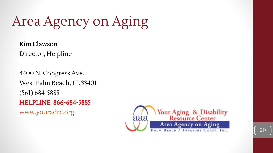Area Agency on Aging

Kim Clawson Director, Helpline

4400 N. Congress Ave. West Palm Beach, FL 33401 (561) 684-5885 HELPLINE 866-684-5885 [www.youradrc.org](http://www.youradrc.org/)

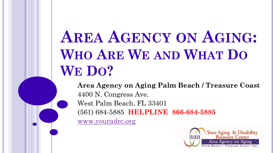## **AREA AGENCY ON AGING: WHO ARE WE AND WHAT DO WE DO?**

**Area Agency on Aging Palm Beach / Treasure Coast** 4400 N. Congress Ave. West Palm Beach, FL 33401 (561) 684-5885 **HELPLINE 866-684-5885** [www.youradrc.org](http://www.youradrc.org/)

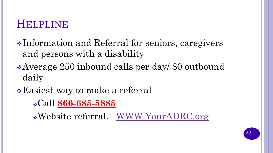#### **HELPLINE**

- ❖Information and Referral for seniors, caregivers and persons with a disability
- ❖Average 250 inbound calls per day/ 80 outbound daily
- ❖Easiest way to make a referral
	- ❖Call **866-685-5885**

❖Website referral. [WWW.YourADRC.org](http://www.youradrc.org/)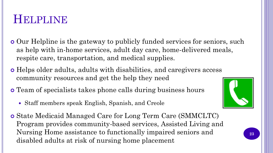#### **HELPLINE**

- Our Helpline is the gateway to publicly funded services for seniors, such as help with in-home services, adult day care, home-delivered meals, respite care, transportation, and medical supplies.
- Helps older adults, adults with disabilities, and caregivers access community resources and get the help they need
- Team of specialists takes phone calls during business hours
	- Staff members speak English, Spanish, and Creole
- State Medicaid Managed Care for Long Term Care (SMMCLTC) Program provides community-based services, Assisted Living and Nursing Home assistance to functionally impaired seniors and disabled adults at risk of nursing home placement

![](_page_22_Picture_6.jpeg)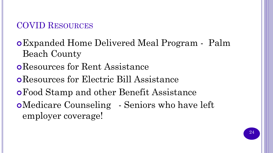#### COVID RESOURCES

Expanded Home Delivered Meal Program - Palm Beach County

#### Resources for Rent Assistance

Resources for Electric Bill Assistance

- Food Stamp and other Benefit Assistance
- Medicare Counseling Seniors who have left employer coverage!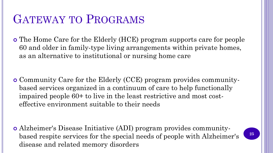#### GATEWAY TO PROGRAMS

 The Home Care for the Elderly (HCE) program supports care for people 60 and older in family-type living arrangements within private homes, as an alternative to institutional or nursing home care

 Community Care for the Elderly (CCE) program provides communitybased services organized in a continuum of care to help functionally impaired people 60+ to live in the least restrictive and most costeffective environment suitable to their needs

 Alzheimer's Disease Initiative (ADI) program provides communitybased respite services for the special needs of people with Alzheimer's disease and related memory disorders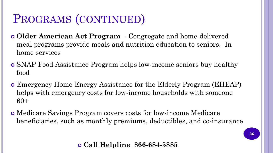#### PROGRAMS (CONTINUED)

- **Older American Act Program**  Congregate and home-delivered meal programs provide meals and nutrition education to seniors. In home services
- SNAP Food Assistance Program helps low-income seniors buy healthy food
- Emergency Home Energy Assistance for the Elderly Program (EHEAP) helps with emergency costs for low-income households with someone 60+
- Medicare Savings Program covers costs for low-income Medicare beneficiaries, such as monthly premiums, deductibles, and co-insurance

#### **Call Helpline 866-684-5885**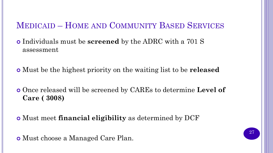#### MEDICAID – HOME AND COMMUNITY BASED SERVICES

 Individuals must be **screened** by the ADRC with a 701 S assessment

Must be the highest priority on the waiting list to be **released**

 Once released will be screened by CAREs to determine **Level of Care ( 3008)**

Must meet **financial eligibility** as determined by DCF

Must choose a Managed Care Plan.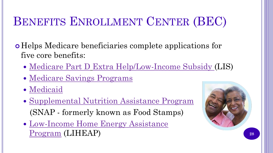#### BENEFITS ENROLLMENT CENTER (BEC)

 Helps Medicare beneficiaries complete applications for five core benefits:

- [Medicare Part D](https://www.ncoa.org/economic-security/benefits/prescriptions/lis-extrahelp/) [Extra Help/Low-Income Subsidy](http://www.ncoa.org/economic-security/benefits/prescriptions/lis-extrahelp/) (LIS)
- [Medicare Savings Programs](https://www.ncoa.org/economic-security/benefits/medicare-and-medicaid/medicaid-msps/)
- [Medicaid](https://www.ncoa.org/economic-security/benefits/medicare-and-medicaid/medicaid-msps/)
- [Supplemental Nutrition Assistance Program](https://www.ncoa.org/economic-security/benefits/food-and-nutrition/food-assistance-benefits/) (SNAP - formerly known as Food Stamps)
- [Low-Income Home Energy Assistance](https://www.ncoa.org/economic-security/benefits/other-benefits/energy-assistance/)  Program (LIHEAP) **<sup>28</sup>**

![](_page_27_Picture_7.jpeg)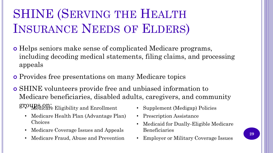### SHINE (SERVING THE HEALTH INSURANCE NEEDS OF ELDERS)

- Helps seniors make sense of complicated Medicare programs, including decoding medical statements, filing claims, and processing appeals
- Provides free presentations on many Medicare topics
- SHINE volunteers provide free and unbiased information to Medicare beneficiaries, disabled adults, caregivers, and community groups on: • Medicare Eligibility and Enrollment
	- Medicare Health Plan (Advantage Plan) Choices
	- Medicare Coverage Issues and Appeals
	- Medicare Fraud, Abuse and Prevention
- Supplement (Medigap) Policies
- Prescription Assistance
- Medicaid for Dually-Eligible Medicare Beneficiaries
- Employer or Military Coverage Issues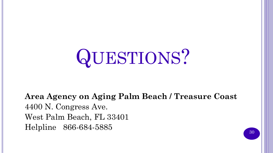# QUESTIONS?

**Area Agency on Aging Palm Beach / Treasure Coast** 4400 N. Congress Ave. West Palm Beach, FL 33401 Helpline 866-684-5885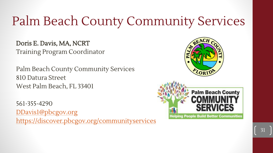### Palm Beach County Community Services

Doris E. Davis, MA, NCRT Training Program Coordinator

Palm Beach County Community Services 810 Datura Street West Palm Beach, FL 33401

561-355-4290 [DDavis1@pbcgov.org](mailto:DDavis1@pbcgov.org) <https://discover.pbcgov.org/communityservices>

![](_page_30_Picture_4.jpeg)

![](_page_30_Picture_5.jpeg)